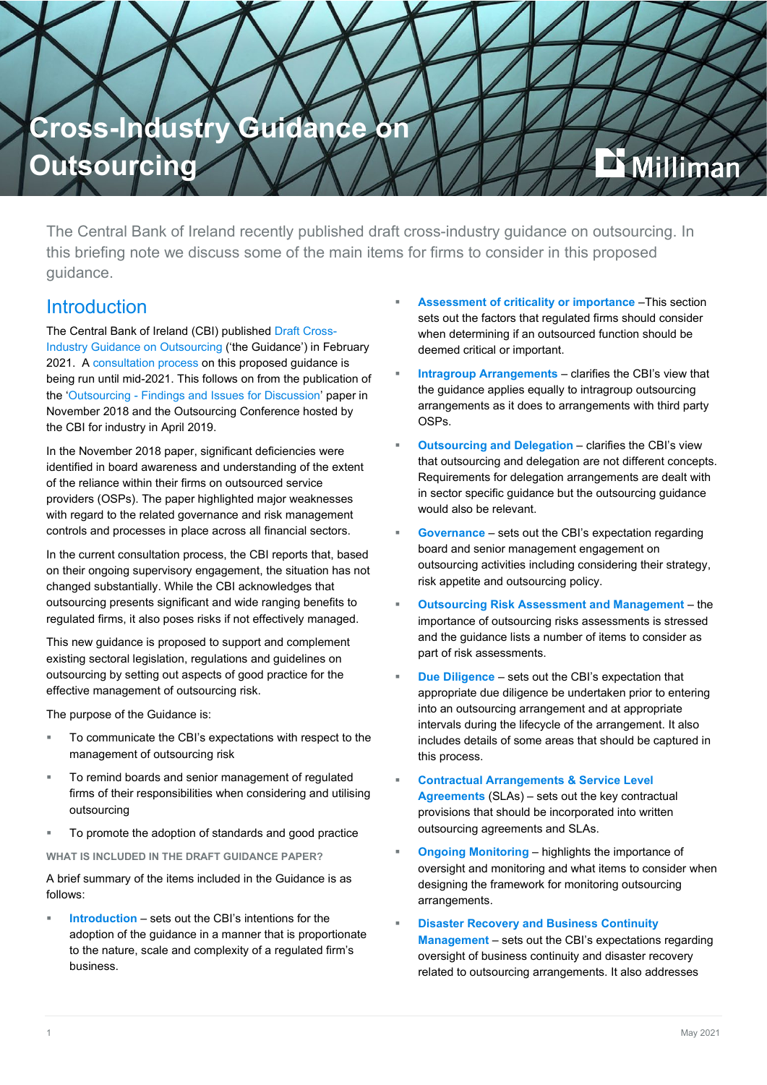

The Central Bank of Ireland recently published draft cross-industry guidance on outsourcing. In this briefing note we discuss some of the main items for firms to consider in this proposed guidance.

## Introduction

The Central Bank of Ireland (CBI) published [Draft Cross-](https://www.centralbank.ie/docs/default-source/publications/consultation-papers/cp138/draft-cross-industry-guidance-on-outsourcing.pdf)[Industry Guidance on Outsourcing](https://www.centralbank.ie/docs/default-source/publications/consultation-papers/cp138/draft-cross-industry-guidance-on-outsourcing.pdf) ('the Guidance') in February 2021. A [consultation process](https://www.centralbank.ie/docs/default-source/publications/consultation-papers/cp138/cp138-consultation-on-cross-industry-guidance-on-outsourcing.pdf?sfvrsn=5) on this proposed guidance is being run until mid-2021. This follows on from the publication of the 'Outsourcing - [Findings and Issues for Discussion'](https://www.centralbank.ie/docs/default-source/publications/discussion-papers/discussion-paper-8/discussion-paper-8---outsourcing-findings-and-issues-for-discussion.pdf?sfvrsn=4) paper in November 2018 and the Outsourcing Conference hosted by the CBI for industry in April 2019.

In the November 2018 paper, significant deficiencies were identified in board awareness and understanding of the extent of the reliance within their firms on outsourced service providers (OSPs). The paper highlighted major weaknesses with regard to the related governance and risk management controls and processes in place across all financial sectors.

In the current consultation process, the CBI reports that, based on their ongoing supervisory engagement, the situation has not changed substantially. While the CBI acknowledges that outsourcing presents significant and wide ranging benefits to regulated firms, it also poses risks if not effectively managed.

This new guidance is proposed to support and complement existing sectoral legislation, regulations and guidelines on outsourcing by setting out aspects of good practice for the effective management of outsourcing risk.

The purpose of the Guidance is:

- To communicate the CBI's expectations with respect to the management of outsourcing risk
- To remind boards and senior management of regulated firms of their responsibilities when considering and utilising outsourcing
- To promote the adoption of standards and good practice

**WHAT IS INCLUDED IN THE DRAFT GUIDANCE PAPER?**

A brief summary of the items included in the Guidance is as follows:

 **Introduction** – sets out the CBI's intentions for the adoption of the guidance in a manner that is proportionate to the nature, scale and complexity of a regulated firm's business.

- **Assessment of criticality or importance** –This section sets out the factors that regulated firms should consider when determining if an outsourced function should be deemed critical or important.
- **Intragroup Arrangements** clarifies the CBI's view that the guidance applies equally to intragroup outsourcing arrangements as it does to arrangements with third party OSPs.
- **Outsourcing and Delegation** clarifies the CBI's view that outsourcing and delegation are not different concepts. Requirements for delegation arrangements are dealt with in sector specific guidance but the outsourcing guidance would also be relevant.
- **Governance** sets out the CBI's expectation regarding board and senior management engagement on outsourcing activities including considering their strategy, risk appetite and outsourcing policy.
- **Outsourcing Risk Assessment and Management** the importance of outsourcing risks assessments is stressed and the guidance lists a number of items to consider as part of risk assessments.
- **Due Diligence** sets out the CBI's expectation that appropriate due diligence be undertaken prior to entering into an outsourcing arrangement and at appropriate intervals during the lifecycle of the arrangement. It also includes details of some areas that should be captured in this process.
- **Contractual Arrangements & Service Level Agreements** (SLAs) – sets out the key contractual provisions that should be incorporated into written outsourcing agreements and SLAs.
- **Ongoing Monitoring** highlights the importance of oversight and monitoring and what items to consider when designing the framework for monitoring outsourcing arrangements.
- **Disaster Recovery and Business Continuity Management** – sets out the CBI's expectations regarding oversight of business continuity and disaster recovery related to outsourcing arrangements. It also addresses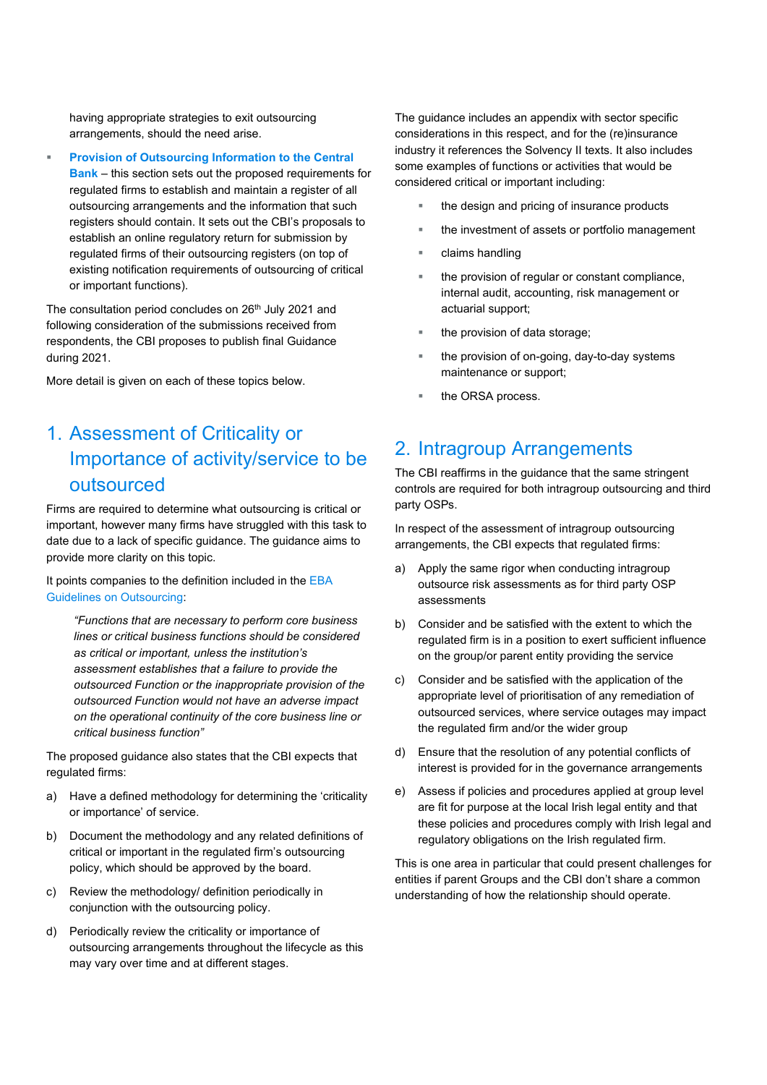having appropriate strategies to exit outsourcing arrangements, should the need arise.

 **Provision of Outsourcing Information to the Central Bank** – this section sets out the proposed requirements for regulated firms to establish and maintain a register of all outsourcing arrangements and the information that such registers should contain. It sets out the CBI's proposals to establish an online regulatory return for submission by regulated firms of their outsourcing registers (on top of existing notification requirements of outsourcing of critical or important functions).

The consultation period concludes on 26<sup>th</sup> July 2021 and following consideration of the submissions received from respondents, the CBI proposes to publish final Guidance during 2021.

More detail is given on each of these topics below.

# 1. Assessment of Criticality or Importance of activity/service to be outsourced

Firms are required to determine what outsourcing is critical or important, however many firms have struggled with this task to date due to a lack of specific guidance. The guidance aims to provide more clarity on this topic.

It points companies to the definition included in the [EBA](https://www.eba.europa.eu/sites/default/documents/files/documents/10180/2551996/38c80601-f5d7-4855-8ba3-702423665479/EBA%20revised%20Guidelines%20on%20outsourcing%20arrangements.pdf?retry=1)  [Guidelines on Outsourcing:](https://www.eba.europa.eu/sites/default/documents/files/documents/10180/2551996/38c80601-f5d7-4855-8ba3-702423665479/EBA%20revised%20Guidelines%20on%20outsourcing%20arrangements.pdf?retry=1)

*"Functions that are necessary to perform core business lines or critical business functions should be considered as critical or important, unless the institution's assessment establishes that a failure to provide the outsourced Function or the inappropriate provision of the outsourced Function would not have an adverse impact on the operational continuity of the core business line or critical business function"*

The proposed guidance also states that the CBI expects that regulated firms:

- a) Have a defined methodology for determining the 'criticality or importance' of service.
- b) Document the methodology and any related definitions of critical or important in the regulated firm's outsourcing policy, which should be approved by the board.
- c) Review the methodology/ definition periodically in conjunction with the outsourcing policy.
- d) Periodically review the criticality or importance of outsourcing arrangements throughout the lifecycle as this may vary over time and at different stages.

The guidance includes an appendix with sector specific considerations in this respect, and for the (re)insurance industry it references the Solvency II texts. It also includes some examples of functions or activities that would be considered critical or important including:

- the design and pricing of insurance products
- **the investment of assets or portfolio management**
- claims handling
- the provision of regular or constant compliance, internal audit, accounting, risk management or actuarial support;
- the provision of data storage;
- the provision of on-going, day-to-day systems maintenance or support;
- the ORSA process.

## 2. Intragroup Arrangements

The CBI reaffirms in the guidance that the same stringent controls are required for both intragroup outsourcing and third party OSPs.

In respect of the assessment of intragroup outsourcing arrangements, the CBI expects that regulated firms:

- a) Apply the same rigor when conducting intragroup outsource risk assessments as for third party OSP assessments
- b) Consider and be satisfied with the extent to which the regulated firm is in a position to exert sufficient influence on the group/or parent entity providing the service
- c) Consider and be satisfied with the application of the appropriate level of prioritisation of any remediation of outsourced services, where service outages may impact the regulated firm and/or the wider group
- d) Ensure that the resolution of any potential conflicts of interest is provided for in the governance arrangements
- e) Assess if policies and procedures applied at group level are fit for purpose at the local Irish legal entity and that these policies and procedures comply with Irish legal and regulatory obligations on the Irish regulated firm.

This is one area in particular that could present challenges for entities if parent Groups and the CBI don't share a common understanding of how the relationship should operate.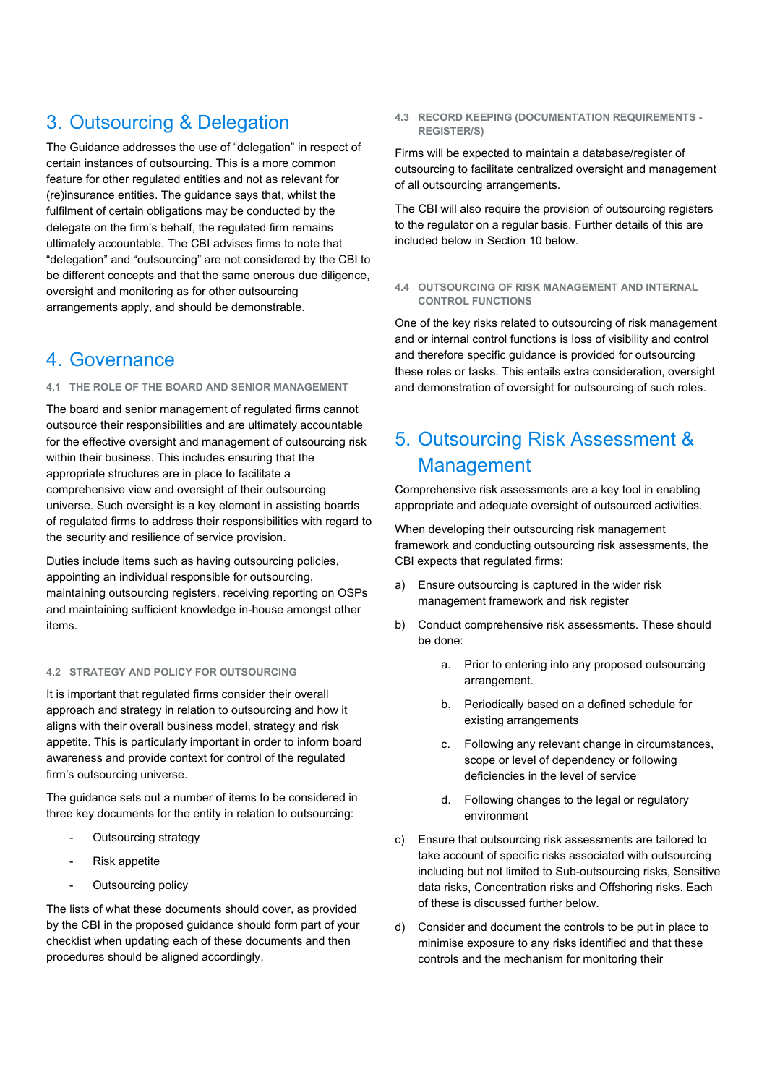# 3. Outsourcing & Delegation

The Guidance addresses the use of "delegation" in respect of certain instances of outsourcing. This is a more common feature for other regulated entities and not as relevant for (re)insurance entities. The guidance says that, whilst the fulfilment of certain obligations may be conducted by the delegate on the firm's behalf, the regulated firm remains ultimately accountable. The CBI advises firms to note that "delegation" and "outsourcing" are not considered by the CBI to be different concepts and that the same onerous due diligence, oversight and monitoring as for other outsourcing arrangements apply, and should be demonstrable.

## 4. Governance

## **4.1 THE ROLE OF THE BOARD AND SENIOR MANAGEMENT**

The board and senior management of regulated firms cannot outsource their responsibilities and are ultimately accountable for the effective oversight and management of outsourcing risk within their business. This includes ensuring that the appropriate structures are in place to facilitate a comprehensive view and oversight of their outsourcing universe. Such oversight is a key element in assisting boards of regulated firms to address their responsibilities with regard to the security and resilience of service provision.

Duties include items such as having outsourcing policies, appointing an individual responsible for outsourcing, maintaining outsourcing registers, receiving reporting on OSPs and maintaining sufficient knowledge in-house amongst other items.

## **4.2 STRATEGY AND POLICY FOR OUTSOURCING**

It is important that regulated firms consider their overall approach and strategy in relation to outsourcing and how it aligns with their overall business model, strategy and risk appetite. This is particularly important in order to inform board awareness and provide context for control of the regulated firm's outsourcing universe.

The guidance sets out a number of items to be considered in three key documents for the entity in relation to outsourcing:

- Outsourcing strategy
- Risk appetite
- Outsourcing policy

The lists of what these documents should cover, as provided by the CBI in the proposed guidance should form part of your checklist when updating each of these documents and then procedures should be aligned accordingly.

**4.3 RECORD KEEPING (DOCUMENTATION REQUIREMENTS - REGISTER/S)**

Firms will be expected to maintain a database/register of outsourcing to facilitate centralized oversight and management of all outsourcing arrangements.

The CBI will also require the provision of outsourcing registers to the regulator on a regular basis. Further details of this are included below in Section 10 below.

**4.4 OUTSOURCING OF RISK MANAGEMENT AND INTERNAL CONTROL FUNCTIONS**

One of the key risks related to outsourcing of risk management and or internal control functions is loss of visibility and control and therefore specific guidance is provided for outsourcing these roles or tasks. This entails extra consideration, oversight and demonstration of oversight for outsourcing of such roles.

# 5. Outsourcing Risk Assessment & Management

Comprehensive risk assessments are a key tool in enabling appropriate and adequate oversight of outsourced activities.

When developing their outsourcing risk management framework and conducting outsourcing risk assessments, the CBI expects that regulated firms:

- a) Ensure outsourcing is captured in the wider risk management framework and risk register
- b) Conduct comprehensive risk assessments. These should be done:
	- a. Prior to entering into any proposed outsourcing arrangement.
	- b. Periodically based on a defined schedule for existing arrangements
	- c. Following any relevant change in circumstances, scope or level of dependency or following deficiencies in the level of service
	- d. Following changes to the legal or regulatory environment
- c) Ensure that outsourcing risk assessments are tailored to take account of specific risks associated with outsourcing including but not limited to Sub-outsourcing risks, Sensitive data risks, Concentration risks and Offshoring risks. Each of these is discussed further below.
- d) Consider and document the controls to be put in place to minimise exposure to any risks identified and that these controls and the mechanism for monitoring their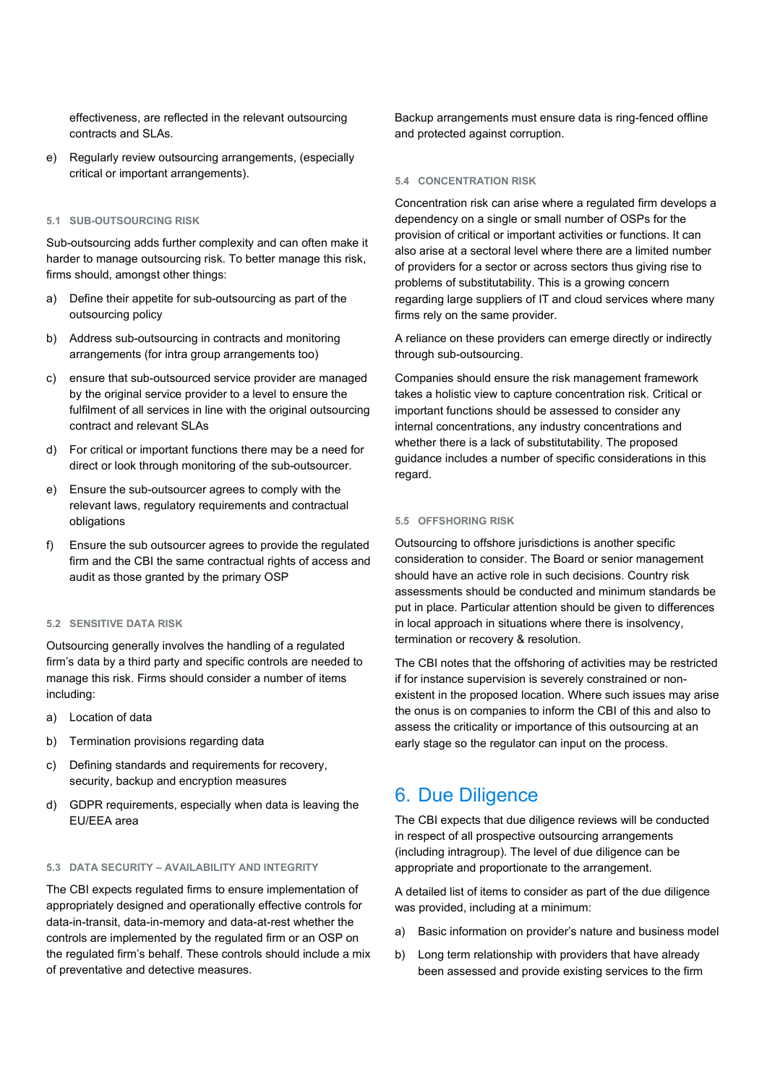effectiveness, are reflected in the relevant outsourcing contracts and SLAs.

e) Regularly review outsourcing arrangements, (especially critical or important arrangements).

#### **5.1 SUB-OUTSOURCING RISK**

Sub-outsourcing adds further complexity and can often make it harder to manage outsourcing risk. To better manage this risk, firms should, amongst other things:

- a) Define their appetite for sub-outsourcing as part of the outsourcing policy
- b) Address sub-outsourcing in contracts and monitoring arrangements (for intra group arrangements too)
- c) ensure that sub-outsourced service provider are managed by the original service provider to a level to ensure the fulfilment of all services in line with the original outsourcing contract and relevant SLAs
- d) For critical or important functions there may be a need for direct or look through monitoring of the sub-outsourcer.
- e) Ensure the sub-outsourcer agrees to comply with the relevant laws, regulatory requirements and contractual obligations
- f) Ensure the sub outsourcer agrees to provide the regulated firm and the CBI the same contractual rights of access and audit as those granted by the primary OSP

#### **5.2 SENSITIVE DATA RISK**

Outsourcing generally involves the handling of a regulated firm's data by a third party and specific controls are needed to manage this risk. Firms should consider a number of items including:

- a) Location of data
- b) Termination provisions regarding data
- c) Defining standards and requirements for recovery, security, backup and encryption measures
- d) GDPR requirements, especially when data is leaving the EU/EEA area

#### **5.3 DATA SECURITY – AVAILABILITY AND INTEGRITY**

The CBI expects regulated firms to ensure implementation of appropriately designed and operationally effective controls for data-in-transit, data-in-memory and data-at-rest whether the controls are implemented by the regulated firm or an OSP on the regulated firm's behalf. These controls should include a mix of preventative and detective measures.

Backup arrangements must ensure data is ring-fenced offline and protected against corruption.

#### **5.4 CONCENTRATION RISK**

Concentration risk can arise where a regulated firm develops a dependency on a single or small number of OSPs for the provision of critical or important activities or functions. It can also arise at a sectoral level where there are a limited number of providers for a sector or across sectors thus giving rise to problems of substitutability. This is a growing concern regarding large suppliers of IT and cloud services where many firms rely on the same provider.

A reliance on these providers can emerge directly or indirectly through sub-outsourcing.

Companies should ensure the risk management framework takes a holistic view to capture concentration risk. Critical or important functions should be assessed to consider any internal concentrations, any industry concentrations and whether there is a lack of substitutability. The proposed guidance includes a number of specific considerations in this regard.

#### **5.5 OFFSHORING RISK**

Outsourcing to offshore jurisdictions is another specific consideration to consider. The Board or senior management should have an active role in such decisions. Country risk assessments should be conducted and minimum standards be put in place. Particular attention should be given to differences in local approach in situations where there is insolvency, termination or recovery & resolution.

The CBI notes that the offshoring of activities may be restricted if for instance supervision is severely constrained or nonexistent in the proposed location. Where such issues may arise the onus is on companies to inform the CBI of this and also to assess the criticality or importance of this outsourcing at an early stage so the regulator can input on the process.

## 6. Due Diligence

The CBI expects that due diligence reviews will be conducted in respect of all prospective outsourcing arrangements (including intragroup). The level of due diligence can be appropriate and proportionate to the arrangement.

A detailed list of items to consider as part of the due diligence was provided, including at a minimum:

- a) Basic information on provider's nature and business model
- b) Long term relationship with providers that have already been assessed and provide existing services to the firm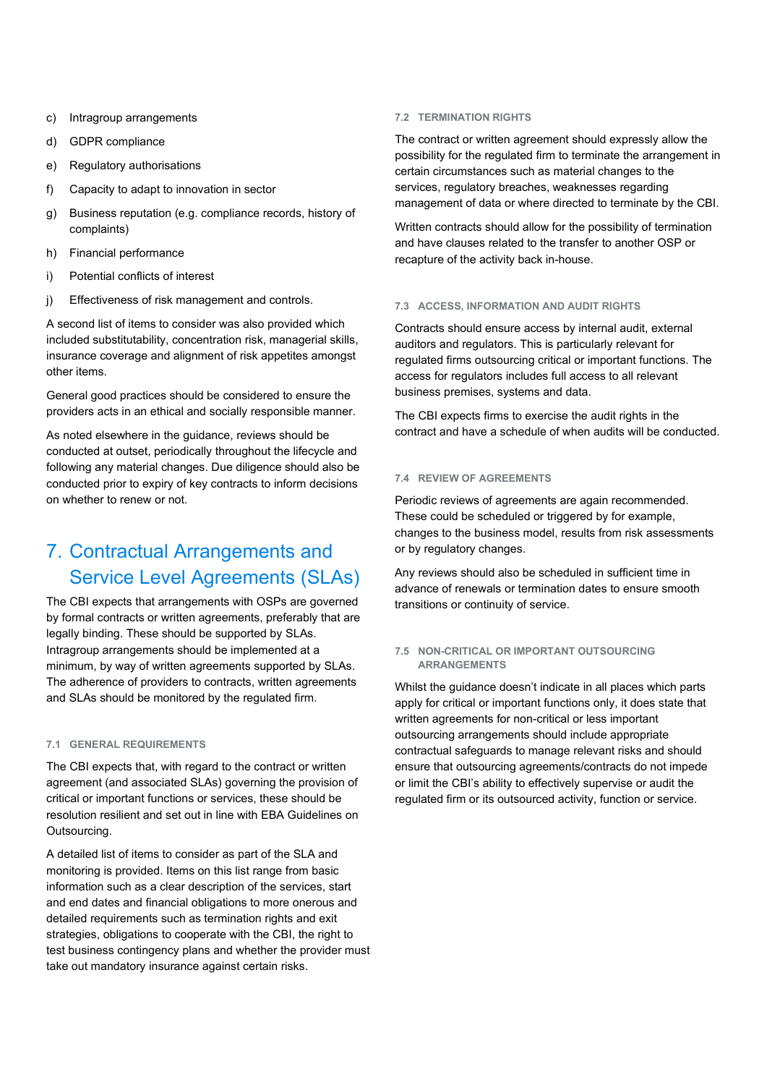- c) Intragroup arrangements
- d) GDPR compliance
- e) Regulatory authorisations
- f) Capacity to adapt to innovation in sector
- g) Business reputation (e.g. compliance records, history of complaints)
- h) Financial performance
- i) Potential conflicts of interest
- j) Effectiveness of risk management and controls.

A second list of items to consider was also provided which included substitutability, concentration risk, managerial skills, insurance coverage and alignment of risk appetites amongst other items.

General good practices should be considered to ensure the providers acts in an ethical and socially responsible manner.

As noted elsewhere in the guidance, reviews should be conducted at outset, periodically throughout the lifecycle and following any material changes. Due diligence should also be conducted prior to expiry of key contracts to inform decisions on whether to renew or not.

# 7. Contractual Arrangements and Service Level Agreements (SLAs)

The CBI expects that arrangements with OSPs are governed by formal contracts or written agreements, preferably that are legally binding. These should be supported by SLAs. Intragroup arrangements should be implemented at a minimum, by way of written agreements supported by SLAs. The adherence of providers to contracts, written agreements and SLAs should be monitored by the regulated firm.

#### **7.1 GENERAL REQUIREMENTS**

The CBI expects that, with regard to the contract or written agreement (and associated SLAs) governing the provision of critical or important functions or services, these should be resolution resilient and set out in line with EBA Guidelines on Outsourcing.

A detailed list of items to consider as part of the SLA and monitoring is provided. Items on this list range from basic information such as a clear description of the services, start and end dates and financial obligations to more onerous and detailed requirements such as termination rights and exit strategies, obligations to cooperate with the CBI, the right to test business contingency plans and whether the provider must take out mandatory insurance against certain risks.

#### **7.2 TERMINATION RIGHTS**

The contract or written agreement should expressly allow the possibility for the regulated firm to terminate the arrangement in certain circumstances such as material changes to the services, regulatory breaches, weaknesses regarding management of data or where directed to terminate by the CBI.

Written contracts should allow for the possibility of termination and have clauses related to the transfer to another OSP or recapture of the activity back in-house.

#### **7.3 ACCESS, INFORMATION AND AUDIT RIGHTS**

Contracts should ensure access by internal audit, external auditors and regulators. This is particularly relevant for regulated firms outsourcing critical or important functions. The access for regulators includes full access to all relevant business premises, systems and data.

The CBI expects firms to exercise the audit rights in the contract and have a schedule of when audits will be conducted.

#### **7.4 REVIEW OF AGREEMENTS**

Periodic reviews of agreements are again recommended. These could be scheduled or triggered by for example, changes to the business model, results from risk assessments or by regulatory changes.

Any reviews should also be scheduled in sufficient time in advance of renewals or termination dates to ensure smooth transitions or continuity of service.

#### **7.5 NON-CRITICAL OR IMPORTANT OUTSOURCING ARRANGEMENTS**

Whilst the guidance doesn't indicate in all places which parts apply for critical or important functions only, it does state that written agreements for non-critical or less important outsourcing arrangements should include appropriate contractual safeguards to manage relevant risks and should ensure that outsourcing agreements/contracts do not impede or limit the CBI's ability to effectively supervise or audit the regulated firm or its outsourced activity, function or service.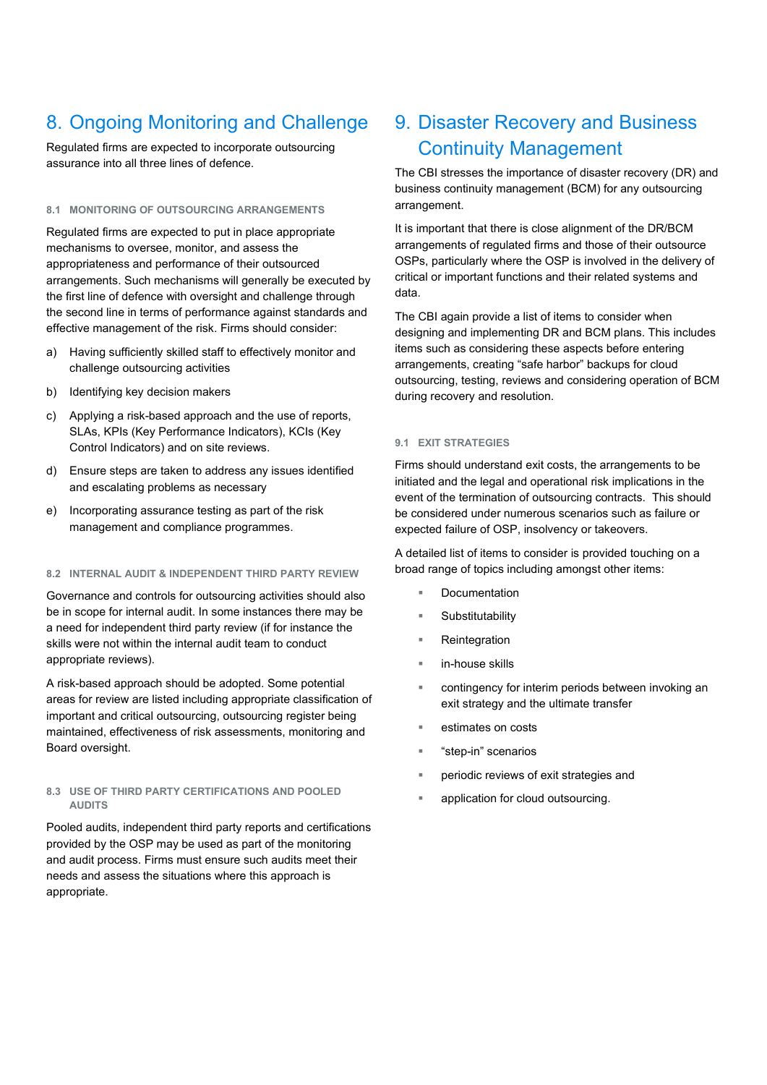# 8. Ongoing Monitoring and Challenge

Regulated firms are expected to incorporate outsourcing assurance into all three lines of defence.

### **8.1 MONITORING OF OUTSOURCING ARRANGEMENTS**

Regulated firms are expected to put in place appropriate mechanisms to oversee, monitor, and assess the appropriateness and performance of their outsourced arrangements. Such mechanisms will generally be executed by the first line of defence with oversight and challenge through the second line in terms of performance against standards and effective management of the risk. Firms should consider:

- a) Having sufficiently skilled staff to effectively monitor and challenge outsourcing activities
- b) Identifying key decision makers
- c) Applying a risk-based approach and the use of reports, SLAs, KPIs (Key Performance Indicators), KCIs (Key Control Indicators) and on site reviews.
- d) Ensure steps are taken to address any issues identified and escalating problems as necessary
- e) Incorporating assurance testing as part of the risk management and compliance programmes.

#### **8.2 INTERNAL AUDIT & INDEPENDENT THIRD PARTY REVIEW**

Governance and controls for outsourcing activities should also be in scope for internal audit. In some instances there may be a need for independent third party review (if for instance the skills were not within the internal audit team to conduct appropriate reviews).

A risk-based approach should be adopted. Some potential areas for review are listed including appropriate classification of important and critical outsourcing, outsourcing register being maintained, effectiveness of risk assessments, monitoring and Board oversight.

#### **8.3 USE OF THIRD PARTY CERTIFICATIONS AND POOLED AUDITS**

Pooled audits, independent third party reports and certifications provided by the OSP may be used as part of the monitoring and audit process. Firms must ensure such audits meet their needs and assess the situations where this approach is appropriate.

# 9. Disaster Recovery and Business Continuity Management

The CBI stresses the importance of disaster recovery (DR) and business continuity management (BCM) for any outsourcing arrangement.

It is important that there is close alignment of the DR/BCM arrangements of regulated firms and those of their outsource OSPs, particularly where the OSP is involved in the delivery of critical or important functions and their related systems and data.

The CBI again provide a list of items to consider when designing and implementing DR and BCM plans. This includes items such as considering these aspects before entering arrangements, creating "safe harbor" backups for cloud outsourcing, testing, reviews and considering operation of BCM during recovery and resolution.

### **9.1 EXIT STRATEGIES**

Firms should understand exit costs, the arrangements to be initiated and the legal and operational risk implications in the event of the termination of outsourcing contracts. This should be considered under numerous scenarios such as failure or expected failure of OSP, insolvency or takeovers.

A detailed list of items to consider is provided touching on a broad range of topics including amongst other items:

- Documentation
- Substitutability
- Reintegration
- in-house skills
- contingency for interim periods between invoking an exit strategy and the ultimate transfer
- estimates on costs
- "step-in" scenarios
- periodic reviews of exit strategies and
- application for cloud outsourcing.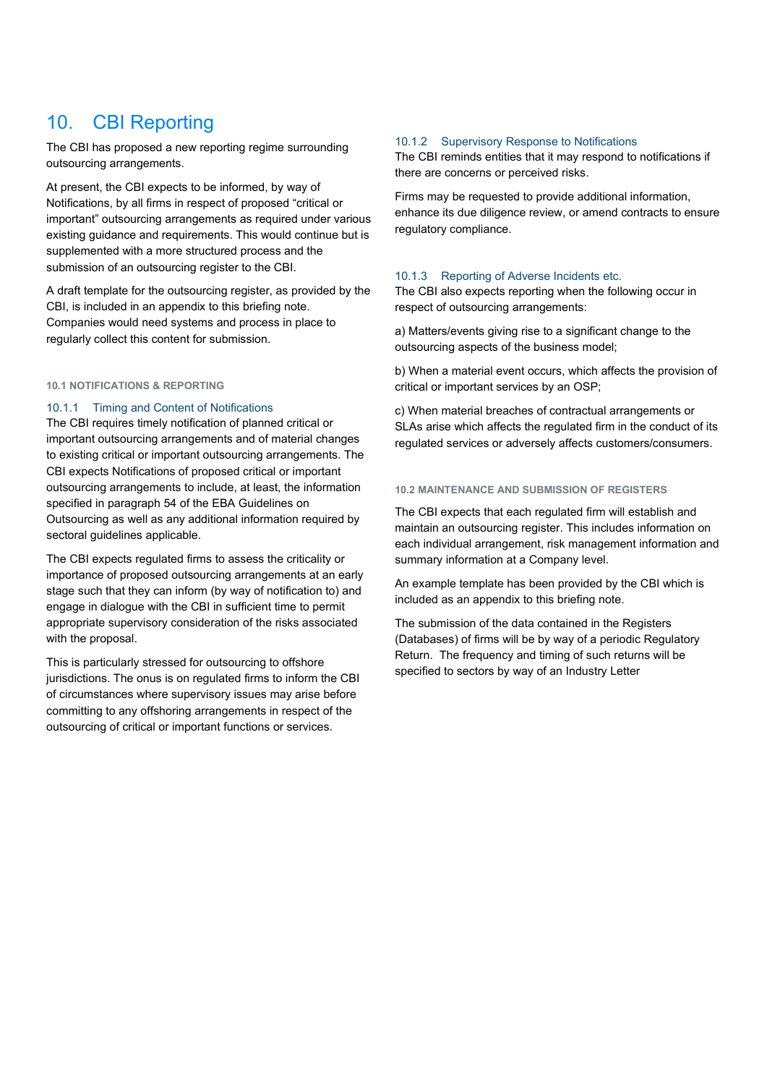# 10. CBI Reporting

The CBI has proposed a new reporting regime surrounding outsourcing arrangements.

At present, the CBI expects to be informed, by way of Notifications, by all firms in respect of proposed "critical or important" outsourcing arrangements as required under various existing guidance and requirements. This would continue but is supplemented with a more structured process and the submission of an outsourcing register to the CBI.

A draft template for the outsourcing register, as provided by the CBI, is included in an appendix to this briefing note. Companies would need systems and process in place to regularly collect this content for submission.

### **10.1 NOTIFICATIONS & REPORTING**

## 10.1.1 Timing and Content of Notifications

The CBI requires timely notification of planned critical or important outsourcing arrangements and of material changes to existing critical or important outsourcing arrangements. The CBI expects Notifications of proposed critical or important outsourcing arrangements to include, at least, the information specified in paragraph 54 of the EBA Guidelines on Outsourcing as well as any additional information required by sectoral guidelines applicable.

The CBI expects regulated firms to assess the criticality or importance of proposed outsourcing arrangements at an early stage such that they can inform (by way of notification to) and engage in dialogue with the CBI in sufficient time to permit appropriate supervisory consideration of the risks associated with the proposal.

This is particularly stressed for outsourcing to offshore jurisdictions. The onus is on regulated firms to inform the CBI of circumstances where supervisory issues may arise before committing to any offshoring arrangements in respect of the outsourcing of critical or important functions or services.

#### 10.1.2 Supervisory Response to Notifications

The CBI reminds entities that it may respond to notifications if there are concerns or perceived risks.

Firms may be requested to provide additional information, enhance its due diligence review, or amend contracts to ensure regulatory compliance.

## 10.1.3 Reporting of Adverse Incidents etc.

The CBI also expects reporting when the following occur in respect of outsourcing arrangements:

a) Matters/events giving rise to a significant change to the outsourcing aspects of the business model;

b) When a material event occurs, which affects the provision of critical or important services by an OSP;

c) When material breaches of contractual arrangements or SLAs arise which affects the regulated firm in the conduct of its regulated services or adversely affects customers/consumers.

## **10.2 MAINTENANCE AND SUBMISSION OF REGISTERS**

The CBI expects that each regulated firm will establish and maintain an outsourcing register. This includes information on each individual arrangement, risk management information and summary information at a Company level.

An example template has been provided by the CBI which is included as an appendix to this briefing note.

The submission of the data contained in the Registers (Databases) of firms will be by way of a periodic Regulatory Return. The frequency and timing of such returns will be specified to sectors by way of an Industry Letter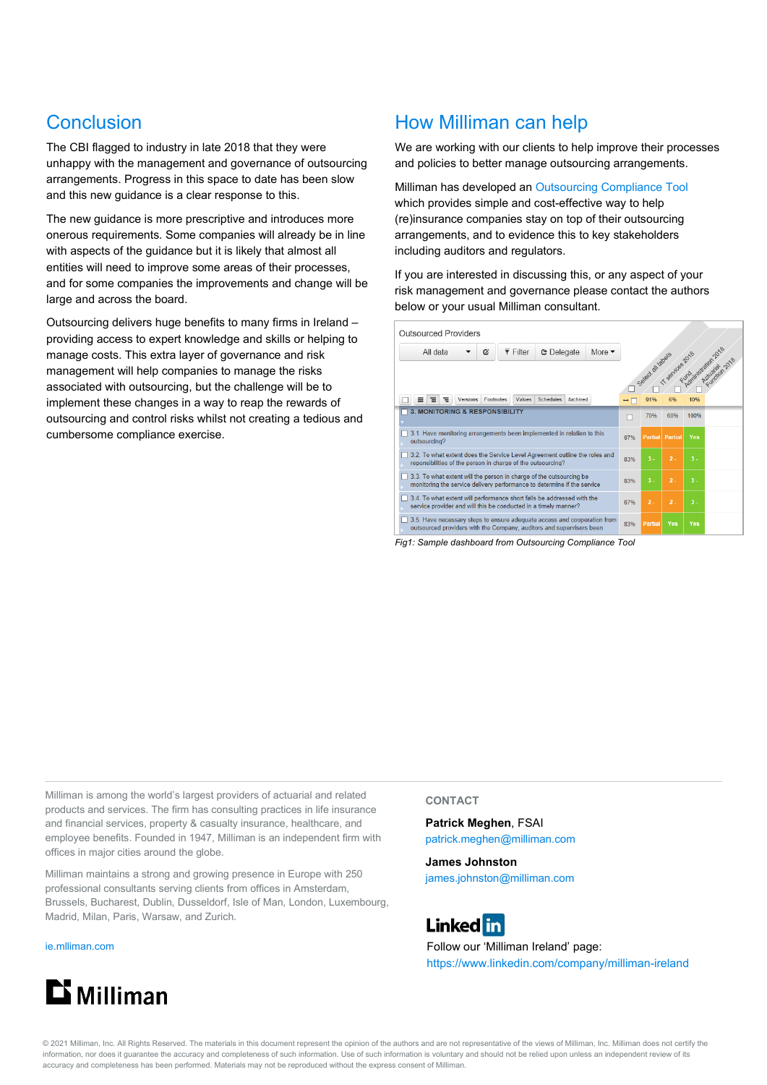# Conclusion

The CBI flagged to industry in late 2018 that they were unhappy with the management and governance of outsourcing arrangements. Progress in this space to date has been slow and this new guidance is a clear response to this.

The new guidance is more prescriptive and introduces more onerous requirements. Some companies will already be in line with aspects of the guidance but it is likely that almost all entities will need to improve some areas of their processes, and for some companies the improvements and change will be large and across the board.

Outsourcing delivers huge benefits to many firms in Ireland – providing access to expert knowledge and skills or helping to manage costs. This extra layer of governance and risk management will help companies to manage the risks associated with outsourcing, but the challenge will be to implement these changes in a way to reap the rewards of outsourcing and control risks whilst not creating a tedious and cumbersome compliance exercise.

## How Milliman can help

We are working with our clients to help improve their processes and policies to better manage outsourcing arrangements.

Milliman has developed a[n Outsourcing Compliance Tool](https://ie.milliman.com/-/media/products/solvency-ii-compliance-assessment-tool/milliman_outsourcing_compliance_tool.ashx) which provides simple and cost-effective way to help (re)insurance companies stay on top of their outsourcing arrangements, and to evidence this to key stakeholders including auditors and regulators.

If you are interested in discussing this, or any aspect of your risk management and governance please contact the authors below or your usual Milliman consultant.

| All data<br>Ø                                                                                                                                  | $\overline{\mathbf{v}}$ Filter | <b>C</b> Delegate            | More $\blacktriangledown$                                            |                          |                  |                         |                   |                |
|------------------------------------------------------------------------------------------------------------------------------------------------|--------------------------------|------------------------------|----------------------------------------------------------------------|--------------------------|------------------|-------------------------|-------------------|----------------|
|                                                                                                                                                |                                |                              |                                                                      |                          |                  |                         |                   |                |
|                                                                                                                                                |                                |                              |                                                                      |                          |                  | Galed al labele and can | Fundamental River | Actuarian 2018 |
| Footnotes<br>Versions<br>Ξ                                                                                                                     | Values                         | <b>Schedules</b><br>Archived |                                                                      | $\leftrightarrow$ $\Box$ | 91%              | 6%                      | 10%               |                |
| <b>3. MONITORING &amp; RESPONSIBILITY</b>                                                                                                      |                                |                              |                                                                      |                          | 70%              | 60%                     | 100%              |                |
|                                                                                                                                                |                                |                              |                                                                      |                          |                  |                         |                   |                |
| 3.1. Have monitoring arrangements been implemented in relation to this<br>outsourcing?                                                         |                                |                              |                                                                      | 67%                      | <b>Partial</b>   | Partial                 | <b>Yes</b>        |                |
| 3.2. To what extent does the Service Level Agreement outline the roles and<br>reponsibilities of the person in charge of the outsourcing?      |                                |                              | 83%                                                                  | $3 -$                    | $\overline{2}$ . | $3 -$                   |                   |                |
| 3.3. To what extent will the person in charge of the outsourcing be<br>monitoring the service delivery performance to determine if the service |                                |                              | 83%                                                                  | $3 -$                    | $2 -$            | $3 -$                   |                   |                |
| 3.4. To what extent will performance short falls be addressed with the<br>service provider and will this be conducted in a timely manner?      |                                |                              | 67%                                                                  | $2 -$                    | $2 -$            | $3 -$                   |                   |                |
| 3.5. Have necessary steps to ensure adequate access and cooperation from                                                                       |                                |                              | outsourced providers with the Company, auditors and supervisors been | 83%                      | <b>Partial</b>   | Yes                     | Yes               |                |

*Fig1: Sample dashboard from Outsourcing Compliance Tool*

Milliman is among the world's largest providers of actuarial and related products and services. The firm has consulting practices in life insurance and financial services, property & casualty insurance, healthcare, and employee benefits. Founded in 1947, Milliman is an independent firm with offices in major cities around the globe.

Milliman maintains a strong and growing presence in Europe with 250 professional consultants serving clients from offices in Amsterdam, Brussels, Bucharest, Dublin, Dusseldorf, Isle of Man, London, Luxembourg, Madrid, Milan, Paris, Warsaw, and Zurich.

[ie.mlliman.com](http://ie.milliman.com/)



## **CONTACT**

**Patrick Meghen**, FSAI patrick.meghen@milliman.com

**James Johnston** james.johnston@milliman.com



Follow our 'Milliman Ireland' page: <https://www.linkedin.com/company/milliman-ireland>

© 2021 Milliman, Inc. All Rights Reserved. The materials in this document represent the opinion of the authors and are not representative of the views of Milliman, Inc. Milliman does not certify the information, nor does it guarantee the accuracy and completeness of such information. Use of such information is voluntary and should not be relied upon unless an independent review of its accuracy and completeness has been performed. Materials may not be reproduced without the express consent of Milliman.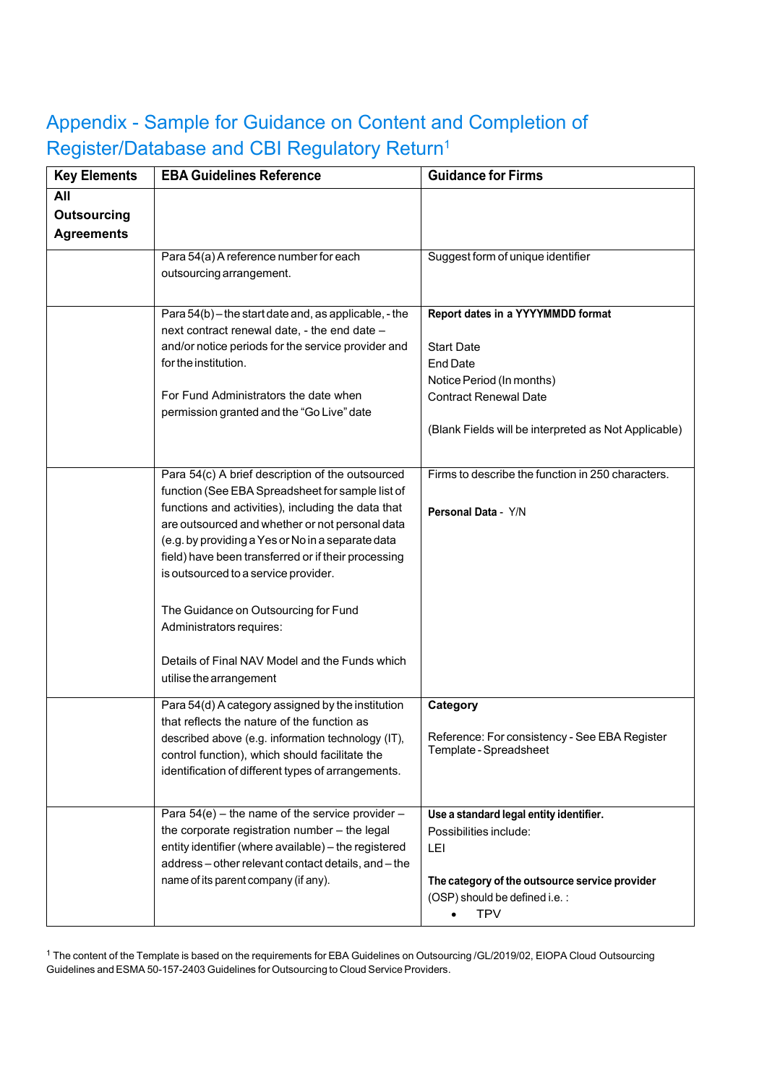# Appendix - Sample for Guidance on Content and Completion of Register/Database and CBI Regulatory Return1

| <b>Key Elements</b>                            | <b>EBA Guidelines Reference</b>                                                                                                                                                                                                                                                                                                                                                                                                                                                                                    | <b>Guidance for Firms</b>                                                                                                                                                                      |  |  |
|------------------------------------------------|--------------------------------------------------------------------------------------------------------------------------------------------------------------------------------------------------------------------------------------------------------------------------------------------------------------------------------------------------------------------------------------------------------------------------------------------------------------------------------------------------------------------|------------------------------------------------------------------------------------------------------------------------------------------------------------------------------------------------|--|--|
| All<br><b>Outsourcing</b><br><b>Agreements</b> |                                                                                                                                                                                                                                                                                                                                                                                                                                                                                                                    |                                                                                                                                                                                                |  |  |
|                                                | Para 54(a) A reference number for each<br>outsourcing arrangement.                                                                                                                                                                                                                                                                                                                                                                                                                                                 | Suggest form of unique identifier                                                                                                                                                              |  |  |
|                                                | Para 54(b) - the start date and, as applicable, - the<br>next contract renewal date, - the end date -<br>and/or notice periods for the service provider and<br>for the institution.<br>For Fund Administrators the date when<br>permission granted and the "Go Live" date                                                                                                                                                                                                                                          | Report dates in a YYYYMMDD format<br><b>Start Date</b><br><b>End Date</b><br>Notice Period (In months)<br><b>Contract Renewal Date</b><br>(Blank Fields will be interpreted as Not Applicable) |  |  |
|                                                | Para 54(c) A brief description of the outsourced<br>function (See EBA Spreadsheet for sample list of<br>functions and activities), including the data that<br>are outsourced and whether or not personal data<br>(e.g. by providing a Yes or No in a separate data<br>field) have been transferred or if their processing<br>is outsourced to a service provider.<br>The Guidance on Outsourcing for Fund<br>Administrators requires:<br>Details of Final NAV Model and the Funds which<br>utilise the arrangement | Firms to describe the function in 250 characters.<br>Personal Data - Y/N                                                                                                                       |  |  |
|                                                | Para 54(d) A category assigned by the institution<br>that reflects the nature of the function as<br>described above (e.g. information technology (IT),<br>control function), which should facilitate the<br>identification of different types of arrangements.                                                                                                                                                                                                                                                     | Category<br>Reference: For consistency - See EBA Register<br>Template - Spreadsheet                                                                                                            |  |  |
|                                                | Para $54(e)$ – the name of the service provider –<br>the corporate registration number - the legal<br>entity identifier (where available) - the registered<br>address-other relevant contact details, and-the<br>name of its parent company (if any).                                                                                                                                                                                                                                                              | Use a standard legal entity identifier.<br>Possibilities include:<br>LEI<br>The category of the outsource service provider<br>(OSP) should be defined i.e.:<br><b>TPV</b>                      |  |  |

<sup>1</sup> The content of the Template is based on the requirements for EBA Guidelines on Outsourcing /GL/2019/02, EIOPA Cloud Outsourcing Guidelines and ESMA 50-157-2403 Guidelines for Outsourcing to Cloud Service Providers.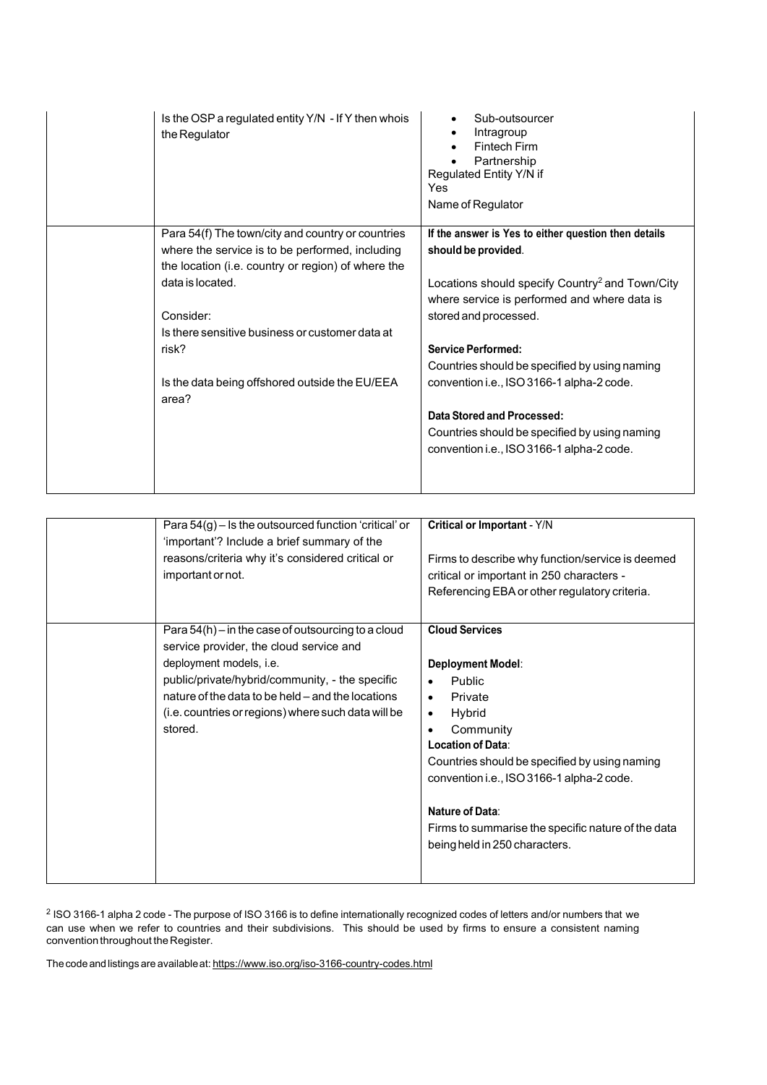| Is the OSP a regulated entity Y/N - If Y then whois<br>the Regulator | Sub-outsourcer<br>Intragroup<br><b>Fintech Firm</b><br>Partnership<br>Regulated Entity Y/N if<br>Yes<br>Name of Regulator |
|----------------------------------------------------------------------|---------------------------------------------------------------------------------------------------------------------------|
| Para 54(f) The town/city and country or countries                    | If the answer is Yes to either question then details                                                                      |
| where the service is to be performed, including                      | should be provided.                                                                                                       |
| the location (i.e. country or region) of where the                   |                                                                                                                           |
| data is located.                                                     | Locations should specify Country <sup>2</sup> and Town/City                                                               |
|                                                                      | where service is performed and where data is                                                                              |
| Consider:                                                            | stored and processed.                                                                                                     |
| Is there sensitive business or customer data at                      |                                                                                                                           |
| risk?                                                                | <b>Service Performed:</b>                                                                                                 |
|                                                                      | Countries should be specified by using naming                                                                             |
| Is the data being offshored outside the EU/EEA<br>area?              | convention i.e., ISO 3166-1 alpha-2 code.                                                                                 |
|                                                                      | Data Stored and Processed:                                                                                                |
|                                                                      | Countries should be specified by using naming                                                                             |
|                                                                      | convention i.e., ISO 3166-1 alpha-2 code.                                                                                 |
|                                                                      |                                                                                                                           |

| Para $54(g)$ – Is the outsourced function 'critical' or<br>'important'? Include a brief summary of the<br>reasons/criteria why it's considered critical or<br>important or not.                                                                                                                      | Critical or Important - Y/N<br>Firms to describe why function/service is deemed<br>critical or important in 250 characters -<br>Referencing EBA or other regulatory criteria.                                                                                                                                                                              |
|------------------------------------------------------------------------------------------------------------------------------------------------------------------------------------------------------------------------------------------------------------------------------------------------------|------------------------------------------------------------------------------------------------------------------------------------------------------------------------------------------------------------------------------------------------------------------------------------------------------------------------------------------------------------|
| Para $54(h)$ – in the case of outsourcing to a cloud<br>service provider, the cloud service and<br>deployment models, i.e.<br>public/private/hybrid/community, - the specific<br>nature of the data to be held – and the locations<br>(i.e. countries or regions) where such data will be<br>stored. | <b>Cloud Services</b><br>Deployment Model:<br>Public<br>Private<br>$\bullet$<br>Hybrid<br>$\bullet$<br>Community<br>$\bullet$<br>Location of Data:<br>Countries should be specified by using naming<br>convention i.e., ISO 3166-1 alpha-2 code.<br>Nature of Data:<br>Firms to summarise the specific nature of the data<br>being held in 250 characters. |

 $^2$  ISO 3166-1 alpha 2 code - The purpose of ISO 3166 is to define internationally recognized codes of letters and/or numbers that we can use when we refer to countries and their subdivisions. This should be used by firms to ensure a consistent naming convention throughout the Register.

The code and listings are available at: <https://www.iso.org/iso-3166-country-codes.html>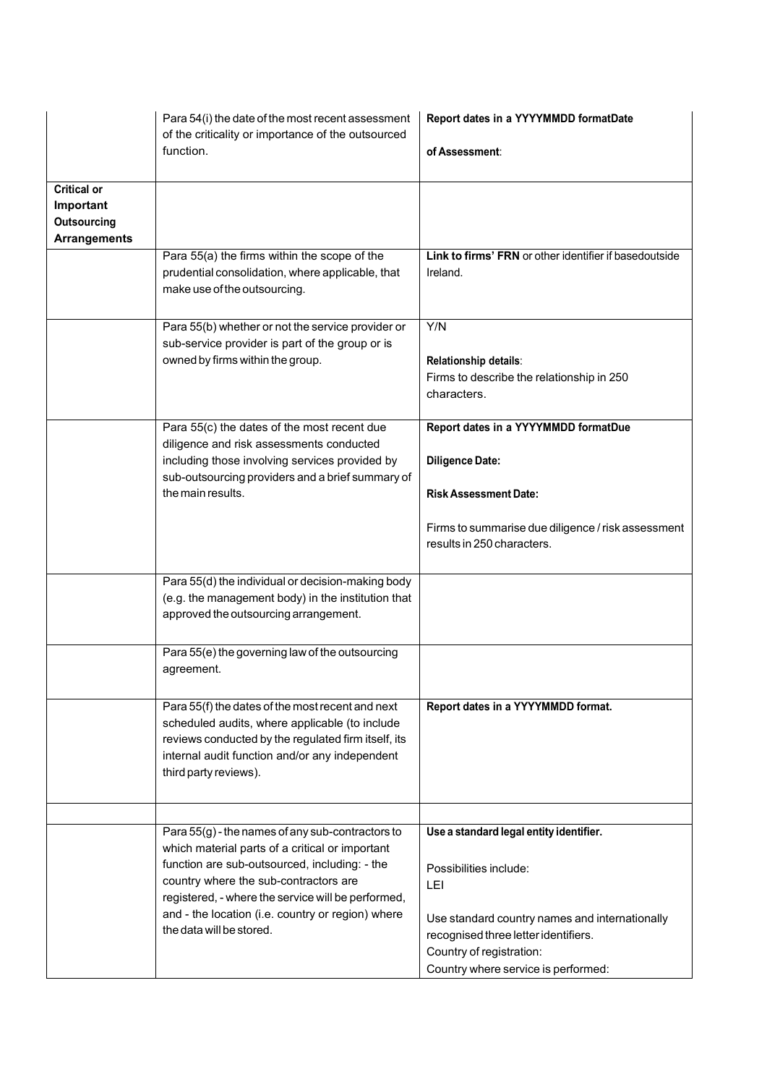|                                                                              | Para 54(i) the date of the most recent assessment<br>of the criticality or importance of the outsourced<br>function.                                                                                                                                                                                                                 | Report dates in a YYYYMMDD formatDate<br>of Assessment:                                                                                                                                        |
|------------------------------------------------------------------------------|--------------------------------------------------------------------------------------------------------------------------------------------------------------------------------------------------------------------------------------------------------------------------------------------------------------------------------------|------------------------------------------------------------------------------------------------------------------------------------------------------------------------------------------------|
| <b>Critical or</b><br>Important<br><b>Outsourcing</b><br><b>Arrangements</b> |                                                                                                                                                                                                                                                                                                                                      |                                                                                                                                                                                                |
|                                                                              | Para 55(a) the firms within the scope of the<br>prudential consolidation, where applicable, that<br>make use of the outsourcing.                                                                                                                                                                                                     | Link to firms' FRN or other identifier if basedoutside<br>Ireland.                                                                                                                             |
|                                                                              | Para 55(b) whether or not the service provider or<br>sub-service provider is part of the group or is<br>owned by firms within the group.                                                                                                                                                                                             | Y/N<br>Relationship details:<br>Firms to describe the relationship in 250<br>characters.                                                                                                       |
|                                                                              | Para 55(c) the dates of the most recent due<br>diligence and risk assessments conducted<br>including those involving services provided by<br>sub-outsourcing providers and a brief summary of<br>the main results.                                                                                                                   | Report dates in a YYYYMMDD formatDue<br><b>Diligence Date:</b><br><b>Risk Assessment Date:</b><br>Firms to summarise due diligence / risk assessment<br>results in 250 characters.             |
|                                                                              | Para 55(d) the individual or decision-making body<br>(e.g. the management body) in the institution that<br>approved the outsourcing arrangement.                                                                                                                                                                                     |                                                                                                                                                                                                |
|                                                                              | Para 55(e) the governing law of the outsourcing<br>agreement.                                                                                                                                                                                                                                                                        |                                                                                                                                                                                                |
|                                                                              | Para 55(f) the dates of the most recent and next<br>scheduled audits, where applicable (to include<br>reviews conducted by the regulated firm itself, its<br>internal audit function and/or any independent<br>third party reviews).                                                                                                 | Report dates in a YYYYMMDD format.                                                                                                                                                             |
|                                                                              |                                                                                                                                                                                                                                                                                                                                      |                                                                                                                                                                                                |
|                                                                              | Para 55(g) - the names of any sub-contractors to<br>which material parts of a critical or important<br>function are sub-outsourced, including: - the<br>country where the sub-contractors are<br>registered, - where the service will be performed,<br>and - the location (i.e. country or region) where<br>the data will be stored. | Use a standard legal entity identifier.<br>Possibilities include:<br>LEI<br>Use standard country names and internationally<br>recognised three letter identifiers.<br>Country of registration: |
|                                                                              |                                                                                                                                                                                                                                                                                                                                      | Country where service is performed:                                                                                                                                                            |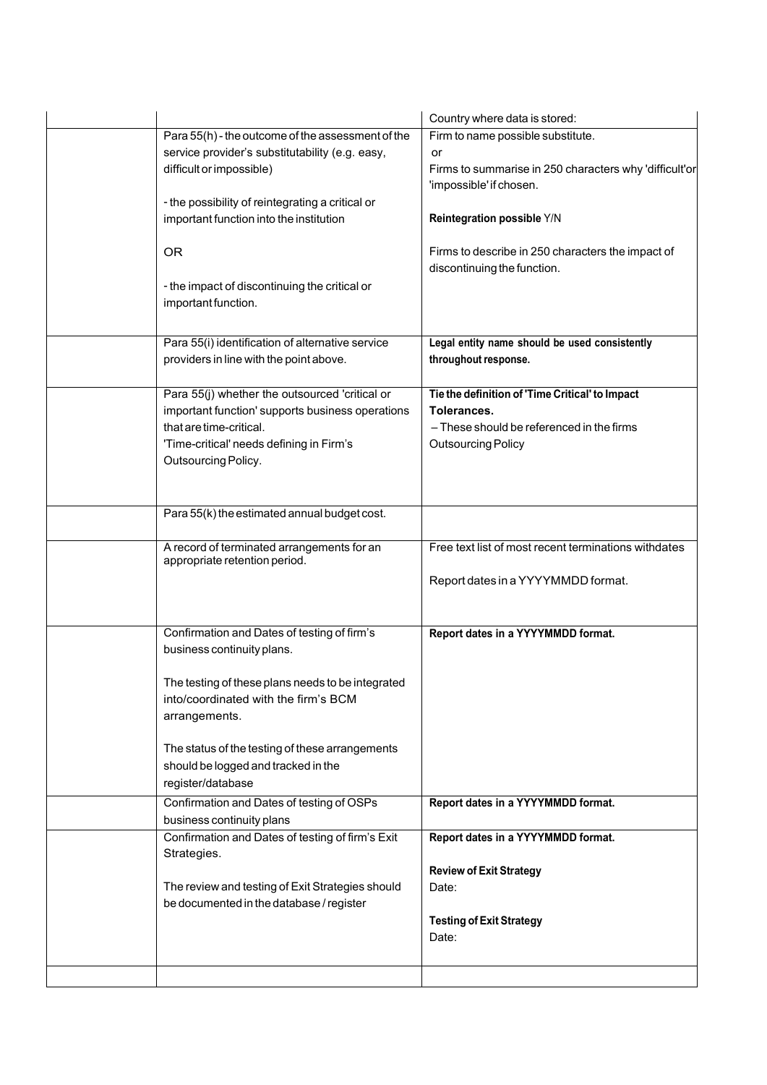|                                                   | Country where data is stored:                          |
|---------------------------------------------------|--------------------------------------------------------|
| Para 55(h) - the outcome of the assessment of the | Firm to name possible substitute.                      |
| service provider's substitutability (e.g. easy,   | or                                                     |
| difficult or impossible)                          | Firms to summarise in 250 characters why 'difficult'or |
|                                                   | 'impossible' if chosen.                                |
| - the possibility of reintegrating a critical or  |                                                        |
| important function into the institution           | Reintegration possible Y/N                             |
|                                                   |                                                        |
| <b>OR</b>                                         | Firms to describe in 250 characters the impact of      |
|                                                   | discontinuing the function.                            |
| - the impact of discontinuing the critical or     |                                                        |
| important function.                               |                                                        |
|                                                   |                                                        |
|                                                   |                                                        |
| Para 55(i) identification of alternative service  | Legal entity name should be used consistently          |
| providers in line with the point above.           | throughout response.                                   |
|                                                   |                                                        |
| Para 55(j) whether the outsourced 'critical or    | Tie the definition of 'Time Critical' to Impact        |
| important function' supports business operations  | Tolerances.                                            |
| that are time-critical.                           | - These should be referenced in the firms              |
| 'Time-critical' needs defining in Firm's          | <b>Outsourcing Policy</b>                              |
| Outsourcing Policy.                               |                                                        |
|                                                   |                                                        |
|                                                   |                                                        |
| Para 55(k) the estimated annual budget cost.      |                                                        |
|                                                   |                                                        |
| A record of terminated arrangements for an        | Free text list of most recent terminations withdates   |
| appropriate retention period.                     |                                                        |
|                                                   | Report dates in a YYYYMMDD format.                     |
|                                                   |                                                        |
|                                                   |                                                        |
| Confirmation and Dates of testing of firm's       | Report dates in a YYYYMMDD format.                     |
| business continuity plans.                        |                                                        |
|                                                   |                                                        |
| The testing of these plans needs to be integrated |                                                        |
| into/coordinated with the firm's BCM              |                                                        |
| arrangements.                                     |                                                        |
|                                                   |                                                        |
| The status of the testing of these arrangements   |                                                        |
| should be logged and tracked in the               |                                                        |
| register/database                                 |                                                        |
| Confirmation and Dates of testing of OSPs         | Report dates in a YYYYMMDD format.                     |
| business continuity plans                         |                                                        |
| Confirmation and Dates of testing of firm's Exit  | Report dates in a YYYYMMDD format.                     |
|                                                   |                                                        |
| Strategies.                                       |                                                        |
|                                                   | <b>Review of Exit Strategy</b>                         |
| The review and testing of Exit Strategies should  | Date:                                                  |
| be documented in the database / register          |                                                        |
|                                                   | <b>Testing of Exit Strategy</b>                        |
|                                                   | Date:                                                  |
|                                                   |                                                        |
|                                                   |                                                        |